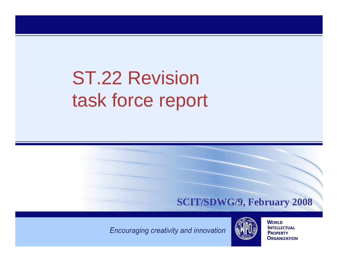# ST.22 Revision task force report



Encouraging creativity and innovation



**WORLD INTELLECTUAL PROPERTY ORGANIZATION**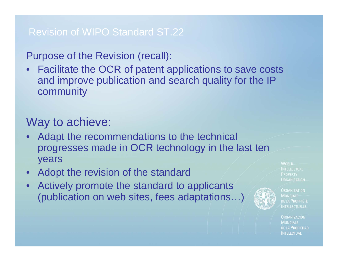## Revision of WIPO Standard ST.22

## Purpose of the Revision (recall):

• Facilitate the OCR of patent applications to save costs and improve publication and search quality for the IP community

## Way to achieve:

- Adapt the recommendations to the technical progresses made in OCR technology in the last ten years
- Adopt the revision of the standard
- Actively promote the standard to applicants (publication on web sites, fees adaptations…)



**ORGANISATION** DE LA PROPRIÉTÉ **INTELLECTUELLE** 

**WORLD** 

**PROPERTY ORGANIZATION**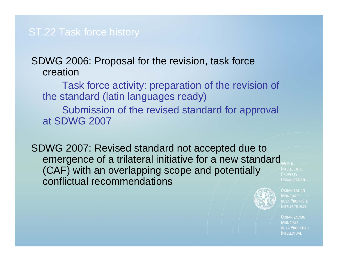SDWG 2006: Proposal for the revision, task force creation

Task force activity: preparation of the revision of the standard (latin languages ready) Submission of the revised standard for approval at SDWG 2007

SDWG 2007: Revised standard not accepted due to emergence of a trilateral initiative for a new standard (CAF) with an overlapping scope and potentially conflictual recommendations

**PROPERTY ORGANIZATION** 

**ORGANISATION MONDIALE** DE LA PROPRIÉTÉ **NTELLECTUELLE**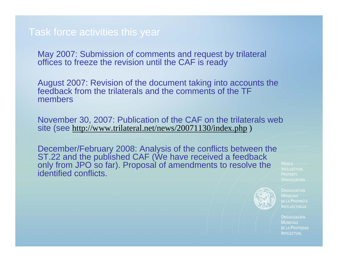## Task force activities this year

May 2007: Submission of comments and request by trilateral offices to freeze the revision until the CAF is ready

August 2007: Revision of the document taking into accounts the feedback from the trilaterals and the comments of the TF members

November 30, 2007: Publication of the CAF on the trilaterals web site (see <u>http://www.trilateral.net/news/20071130/index.php</u> )

December/February 2008: Analysis of the conflicts between the ST.22 and the published CAF (We have received a feedback only from JPO so far). Proposal of amendments to resolve the identified conflicts.

**WORLD PROPERTY ORGANIZATION** 



**ORGANISATION** DE LA PROPRIÉTÉ **INTELLECTUELLE**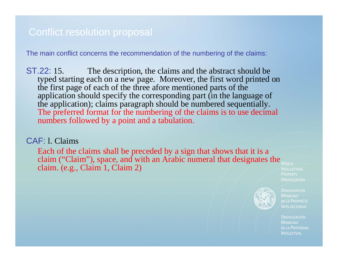## Conflict resolution proposal

The main conflict concerns the recommendation of the numbering of the claims:

ST.22: 15. The description, the claims and the abstract should be typed starting each on a new page. Moreover, the first word printed on the first page of each of the three afore mentioned parts of the application should specify the corresponding part (in the language of the application); claims paragraph should be numbered sequentially. The preferred format for the numbering of the claims is to use decimal numbers followed by a point and a tabulation.

#### CAF: l. Claims

Each of the claims shall be preceded by a sign that shows that it is a claim ("Claim"), space, and with an Arabic numeral that designates the  $_{\text{WORID}}$ claim. (e.g., Claim 1, Claim 2)

**PROPERTY ORGANIZATION** 



**ORGANISATION** DE LA PROPRIÉTÉ **INTELLECTUELLE**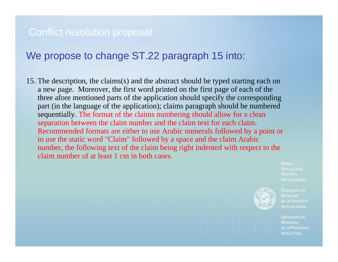## Conflict resolution proposal

## We propose to change ST.22 paragraph 15 into:

15. The description, the claims(s) and the abstract should be typed starting each on a new page. Moreover, the first word printed on the first page of each of the three afore mentioned parts of the application should specify the corresponding part (in the language of the application); claims paragraph should be numbered sequentially. The format of the claims numbering should allow for a clean separation between the claim number and the claim text for each claim. Recommended formats are either to use Arabic numerals followed by a point or to use the static word "Claim" followed by a space and the claim Arabic number, the following text of the claim being right indented with respect to the claim number of at least 1 cm in both cases.

> **WORLD PROPERTY ORGANIZATION**



**ORGANISATION** DE LA PROPRIÉTÉ **INTELLECTUELLE**